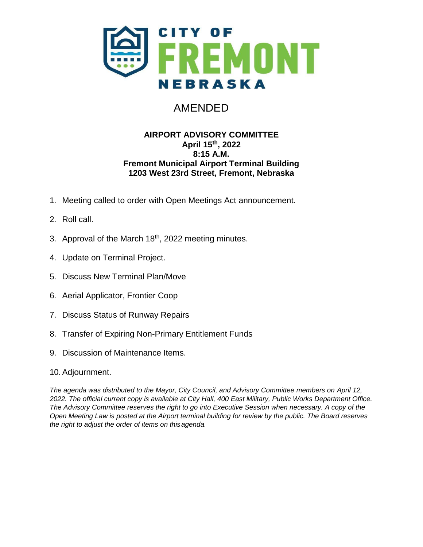

# AMENDED

#### **AIRPORT ADVISORY COMMITTEE April 15 th, 2022 8:15 A.M. Fremont Municipal Airport Terminal Building 1203 West 23rd Street, Fremont, Nebraska**

- 1. Meeting called to order with Open Meetings Act announcement.
- 2. Roll call.
- 3. Approval of the March 18<sup>th</sup>, 2022 meeting minutes.
- 4. Update on Terminal Project.
- 5. Discuss New Terminal Plan/Move
- 6. Aerial Applicator, Frontier Coop
- 7. Discuss Status of Runway Repairs
- 8. Transfer of Expiring Non-Primary Entitlement Funds
- 9. Discussion of Maintenance Items.
- 10.Adjournment.

*The agenda was distributed to the Mayor, City Council, and Advisory Committee members on April 12, 2022. The official current copy is available at City Hall, 400 East Military, Public Works Department Office. The Advisory Committee reserves the right to go into Executive Session when necessary. A copy of the Open Meeting Law is posted at the Airport terminal building for review by the public. The Board reserves the right to adjust the order of items on thisagenda.*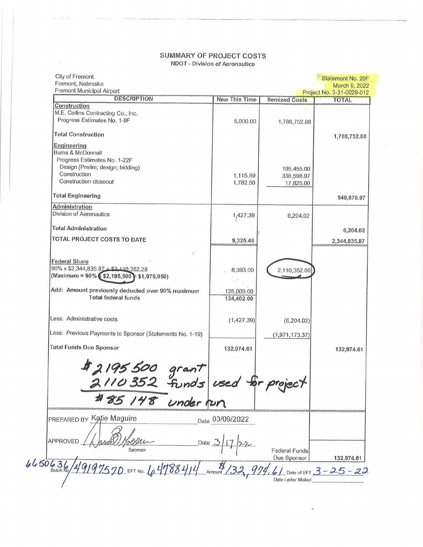#### SUMMARY OF PROJECT COSTS **NDOT - Division of Aeronautics**

 $\bar{\lambda}$ 

| City of Fremont<br>Fremont, Nebraska                                                      |                          |                       | Statement No. 20F<br>March 9, 2022 |
|-------------------------------------------------------------------------------------------|--------------------------|-----------------------|------------------------------------|
| Fremont Municipal Airport                                                                 |                          |                       | Project No. 3-31-0029-012          |
| <b>DESCRIPTION</b><br>Construction                                                        | New This Time            | <b>Itemized Costs</b> | <b>TOTAL</b>                       |
| M.E. Collins Contracting Co., Inc.<br>Progress Estimates No. 1-9F                         | 5,000.00                 | 1,788,752.88          |                                    |
| <b>Total Construction</b>                                                                 |                          |                       | 1,788,752.88                       |
| Engineering                                                                               |                          |                       |                                    |
| <b>Burns &amp; McDonnell</b><br>Progress Estimates No. 1-22F                              |                          |                       |                                    |
| Design (Prelim; design; bidding)                                                          |                          | 195,455.00            |                                    |
| Construction                                                                              | 1,115.59                 | 336,598.97            |                                    |
| Construction closeout                                                                     | 1,782.50                 | 17,825.00             |                                    |
| <b>Total Engineering</b>                                                                  |                          |                       | 549,878.97                         |
| <b>Administration</b>                                                                     |                          |                       |                                    |
| Division of Aeronautics                                                                   | 1,427.39                 | 6,204.02              |                                    |
| <b>Total Administration</b>                                                               |                          |                       | 6,204.02                           |
| TOTAL PROJECT COSTS TO DATE                                                               | 9,325.48                 |                       | 2,344,835.87                       |
| $\epsilon^{\prime}$                                                                       |                          |                       |                                    |
| <b>Federal Share</b>                                                                      |                          |                       |                                    |
| $90\% \times $2,344,835.87 = $2,110.352.28$<br>(Maximum = 90% (\$2,195,500 + \$1,975,950) | 8,393.00                 | 2,110,352.00          |                                    |
| Add: Amount previously deducted over 90% maximum<br><b>Total federal funds</b>            | 126,009.00<br>134,402.00 |                       |                                    |
| Less: Administrative costs                                                                | (1,427.39)               | (6, 204.02)           |                                    |
| Less: Previous Payments to Sponsor (Statements No. 1-19)                                  |                          | (1, 971, 173.37)      |                                    |
| <b>Total Funds Due Sponsor</b>                                                            | 132,974.61               |                       | 132,974.61                         |
|                                                                                           |                          |                       |                                    |
|                                                                                           |                          |                       |                                    |
| # 2195 500 grant<br>2110 352 funds used for pr.                                           |                          |                       |                                    |
|                                                                                           |                          |                       |                                    |
| # 85 148 under fun                                                                        |                          |                       |                                    |
| PREPARED BY Katie Maguire                                                                 | Date 03/09/2022          |                       |                                    |
|                                                                                           |                          |                       |                                    |
| APPROVED<br>Date .                                                                        |                          |                       |                                    |
| Sponsor                                                                                   |                          | <b>Federal Funds</b>  |                                    |
|                                                                                           |                          | Due Sponsor           | 132,974.61                         |
| 6450636<br>$49197570$ EFT No. $104788414$ Amount                                          |                          |                       | 6 / Date of EFT $3 - 25 - 22$      |
|                                                                                           |                          | Date Letter Mailed    |                                    |

 $\vec{\mathbf{x}}$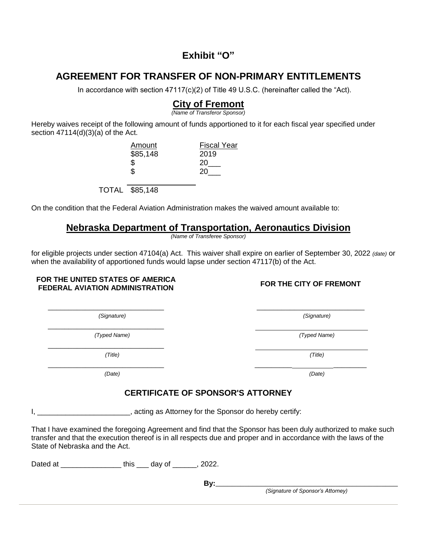#### **Exhibit "O"**

# **AGREEMENT FOR TRANSFER OF NON-PRIMARY ENTITLEMENTS**

In accordance with section 47117(c)(2) of Title 49 U.S.C. (hereinafter called the "Act).

# **City of Fremont**

*(Name of Transferor Sponsor)*

Hereby waives receipt of the following amount of funds apportioned to it for each fiscal year specified under section  $47114(d)(3)(a)$  of the Act.

| <b>Fiscal Year</b> |
|--------------------|
| 2019               |
| 20                 |
| 20                 |
|                    |

TOTAL \$85,148

On the condition that the Federal Aviation Administration makes the waived amount available to:

#### **Nebraska Department of Transportation, Aeronautics Division**

*(Name of Transferee Sponsor)*

\_\_\_\_\_\_\_\_\_\_\_\_\_\_\_\_\_\_\_\_\_\_\_\_\_\_\_\_ \_\_\_\_\_\_\_\_\_\_\_\_\_\_\_\_\_\_\_\_\_\_\_\_\_\_

for eligible projects under section 47104(a) Act. This waiver shall expire on earlier of September 30, 2022 *(date)* or when the availability of apportioned funds would lapse under section 47117(b) of the Act.

#### **FOR THE UNITED STATES OF AMERICA FEDERAL AVIATION ADMINISTRATION FOR THE CITY OF FREMONT**

*(Signature) (Signature)*

 $\overline{\phantom{a}}$  ,  $\overline{\phantom{a}}$  ,  $\overline{\phantom{a}}$  ,  $\overline{\phantom{a}}$  ,  $\overline{\phantom{a}}$  ,  $\overline{\phantom{a}}$  ,  $\overline{\phantom{a}}$  ,  $\overline{\phantom{a}}$  ,  $\overline{\phantom{a}}$  ,  $\overline{\phantom{a}}$  ,  $\overline{\phantom{a}}$  ,  $\overline{\phantom{a}}$  ,  $\overline{\phantom{a}}$  ,  $\overline{\phantom{a}}$  ,  $\overline{\phantom{a}}$  ,  $\overline{\phantom{a}}$ *(Typed Name) (Typed Name)*

\_\_\_\_\_\_\_\_\_\_\_\_\_\_\_\_\_\_\_\_\_\_\_\_\_\_\_\_

*(Title) (Title)*

\_\_\_\_\_\_\_\_\_\_\_\_\_\_\_\_\_\_\_\_\_\_\_\_\_\_\_\_ \_\_\_\_\_\_\_\_\_ \_\_\_\_\_\_\_\_

### **CERTIFICATE OF SPONSOR'S ATTORNEY**

I, **I**, **EXECUTE:** Letter and as Attorney for the Sponsor do hereby certify:

That I have examined the foregoing Agreement and find that the Sponsor has been duly authorized to make such transfer and that the execution thereof is in all respects due and proper and in accordance with the laws of the State of Nebraska and the Act.

Dated at  $\qquad \qquad \text{this} \qquad \text{day of} \qquad \text{, 2022.}$ 

**By:**\_\_\_\_\_\_\_\_\_\_\_\_\_\_\_\_\_\_\_\_\_\_\_\_\_\_\_\_\_\_\_\_\_\_\_\_\_\_\_\_\_\_\_\_

*(Signature of Sponsor's Attorney)*

*(Date) (Date)*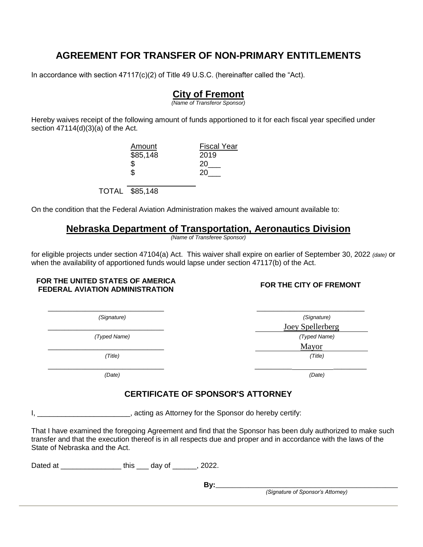# **AGREEMENT FOR TRANSFER OF NON-PRIMARY ENTITLEMENTS**

In accordance with section  $47117(c)(2)$  of Title 49 U.S.C. (hereinafter called the "Act).

### **City of Fremont**

*(Name of Transferor Sponsor)*

Hereby waives receipt of the following amount of funds apportioned to it for each fiscal year specified under section  $47114(d)(3)(a)$  of the Act.

> Amount Fiscal Year \$85,148 2019  $\begin{array}{cc} $ & 20 \ \ 3 & 20 \ \end{array}$ **20** TOTAL \$85,148

On the condition that the Federal Aviation Administration makes the waived amount available to:

### **Nebraska Department of Transportation, Aeronautics Division**

*(Name of Transferee Sponsor)*

\_\_\_\_\_\_\_\_\_\_\_\_\_\_\_\_\_\_\_\_\_\_\_\_\_\_\_\_ \_\_\_\_\_\_\_\_\_\_\_\_\_\_\_\_\_\_\_\_\_\_\_\_\_\_

for eligible projects under section 47104(a) Act. This waiver shall expire on earlier of September 30, 2022 *(date)* or when the availability of apportioned funds would lapse under section 47117(b) of the Act.

#### **FOR THE UNITED STATES OF AMERICA FEDERAL AVIATION ADMINISTRATION FOR THE CITY OF FREMONT**

*(Date) (Date)*

#### *(Signature) (Signature)* Joey Spellerberg *(Typed Name) (Typed Name)* \_\_\_\_\_\_\_\_\_\_\_\_\_\_\_\_\_\_\_\_\_\_\_\_\_\_\_\_ Mayor *(Title) (Title)*  $\overline{\phantom{a}}$  , and the contract of the contract of the contract of the contract of the contract of the contract of the contract of the contract of the contract of the contract of the contract of the contract of the contrac

### **CERTIFICATE OF SPONSOR'S ATTORNEY**

I, \_\_\_\_\_\_\_\_\_\_\_\_\_\_\_\_\_\_\_\_\_\_\_\_, acting as Attorney for the Sponsor do hereby certify:

That I have examined the foregoing Agreement and find that the Sponsor has been duly authorized to make such transfer and that the execution thereof is in all respects due and proper and in accordance with the laws of the State of Nebraska and the Act.

Dated at \_\_\_\_\_\_\_\_\_\_\_\_\_\_\_\_\_\_\_\_\_ this \_\_\_\_ day of \_\_\_\_\_\_\_, 2022.

**By:**\_\_\_\_\_\_\_\_\_\_\_\_\_\_\_\_\_\_\_\_\_\_\_\_\_\_\_\_\_\_\_\_\_\_\_\_\_\_\_\_\_\_\_\_

*(Signature of Sponsor's Attorney)*